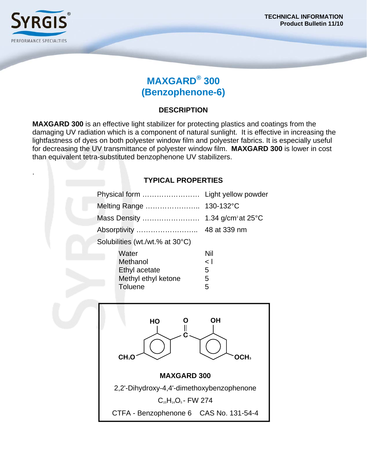

.

# **MAXGARD® 300 (Benzophenone-6)**

## **DESCRIPTION**

**MAXGARD 300** is an effective light stabilizer for protecting plastics and coatings from the damaging UV radiation which is a component of natural sunlight. It is effective in increasing the lightfastness of dyes on both polyester window film and polyester fabrics. It is especially useful for decreasing the UV transmittance of polyester window film. **MAXGARD 300** is lower in cost than equivalent tetra-substituted benzophenone UV stabilizers.

## **TYPICAL PROPERTIES**

| Physical form                                                        | Light yellow powder                      |
|----------------------------------------------------------------------|------------------------------------------|
| Melting Range                                                        | 130-132°C                                |
| Mass Density                                                         | 1.34 g/cm <sup>3</sup> at $25^{\circ}$ C |
| Absorptivity                                                         | 48 at 339 nm                             |
| Solubilities (wt./wt.% at 30°C)                                      |                                          |
| Water<br>Methanol<br>Ethyl acetate<br>Methyl ethyl ketone<br>Toluene | Nil<br>$\lt$ l<br>5<br>5<br>5            |
| HO<br>CH <sub>3</sub> O                                              | OН<br>OCH.                               |
| <b>MAXGARD 300</b>                                                   |                                          |
| 2,2'-Dihydroxy-4,4'-dimethoxybenzophenone                            |                                          |
| $C_{15}H_{14}O_5$ - FW 274                                           |                                          |
| CTFA - Benzophenone 6 CAS No. 131-54-4                               |                                          |